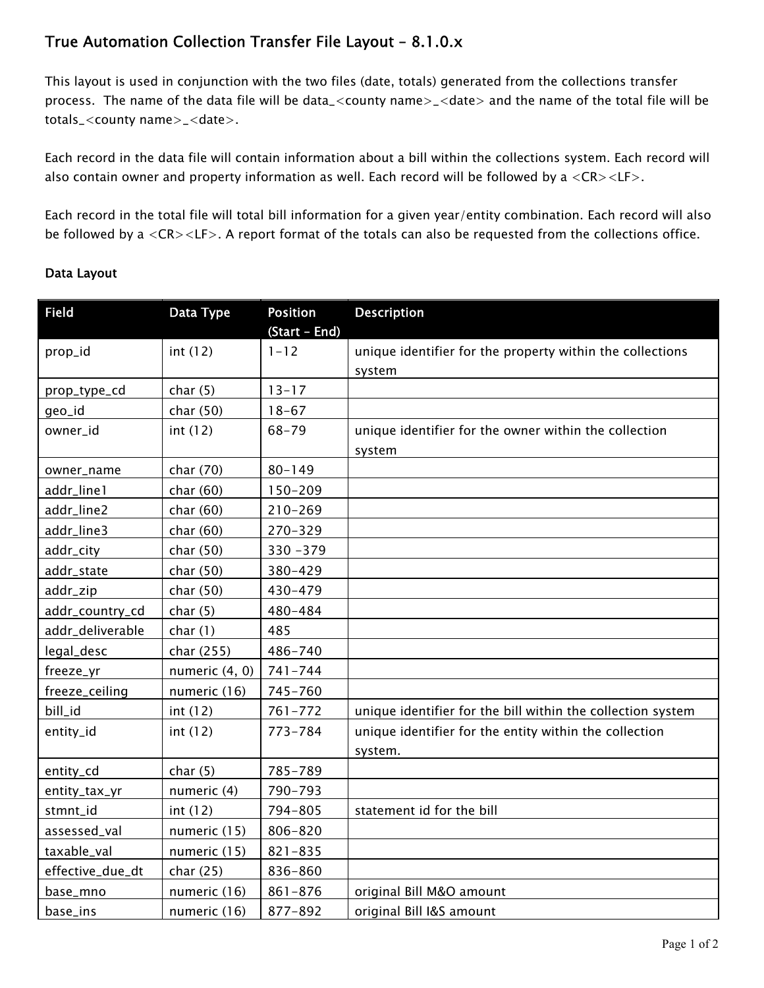## *True Automation Collection Transfer File Layout – 8.1.0.x*

*This layout is used in conjunction with the two files (date, totals) generated from the collections transfer process. The name of the data file will be data\_<county name>\_<date> and the name of the total file will be totals\_<county name>\_<date>.* 

Each record in the data file will contain information about a bill within the collections system. Each record will *also contain owner and property information as well. Each record will be followed by a <CR><LF>.* 

*Each record in the total file will total bill information for a given year/entity combination. Each record will also be followed by a <CR><LF>. A report format of the totals can also be requested from the collections office.* 

## *Data Layout*

| <b>Field</b>     | Data Type      | <b>Position</b><br>(Start - End) | <b>Description</b>                                                  |
|------------------|----------------|----------------------------------|---------------------------------------------------------------------|
| prop_id          | int(12)        | $1 - 12$                         | unique identifier for the property within the collections<br>system |
| prop_type_cd     | char(5)        | $13 - 17$                        |                                                                     |
| geo_id           | char (50)      | $18 - 67$                        |                                                                     |
| owner_id         | int(12)        | $68 - 79$                        | unique identifier for the owner within the collection<br>system     |
| owner_name       | char (70)      | $80 - 149$                       |                                                                     |
| addr_line1       | char $(60)$    | 150-209                          |                                                                     |
| addr_line2       | char $(60)$    | $210 - 269$                      |                                                                     |
| addr_line3       | char $(60)$    | 270-329                          |                                                                     |
| addr_city        | char (50)      | $330 - 379$                      |                                                                     |
| addr_state       | char (50)      | 380-429                          |                                                                     |
| addr_zip         | char (50)      | 430-479                          |                                                                     |
| addr_country_cd  | char(5)        | 480-484                          |                                                                     |
| addr_deliverable | char(1)        | 485                              |                                                                     |
| legal_desc       | char (255)     | 486-740                          |                                                                     |
| freeze_yr        | numeric (4, 0) | $741 - 744$                      |                                                                     |
| freeze_ceiling   | numeric (16)   | 745-760                          |                                                                     |
| bill_id          | int (12)       | $761 - 772$                      | unique identifier for the bill within the collection system         |
| entity_id        | int(12)        | $773 - 784$                      | unique identifier for the entity within the collection<br>system.   |
| entity_cd        | char(5)        | 785-789                          |                                                                     |
| entity_tax_yr    | numeric (4)    | 790-793                          |                                                                     |
| stmnt_id         | int (12)       | 794-805                          | statement id for the bill                                           |
| assessed_val     | numeric (15)   | 806-820                          |                                                                     |
| taxable_val      | numeric (15)   | $821 - 835$                      |                                                                     |
| effective_due_dt | char $(25)$    | 836-860                          |                                                                     |
| base_mno         | numeric (16)   | $861 - 876$                      | original Bill M&O amount                                            |
| base_ins         | numeric (16)   | 877-892                          | original Bill I&S amount                                            |